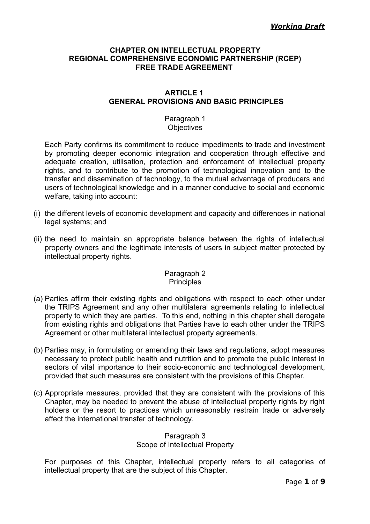### **CHAPTER ON INTELLECTUAL PROPERTY REGIONAL COMPREHENSIVE ECONOMIC PARTNERSHIP (RCEP) FREE TRADE AGREEMENT**

## **ARTICLE 1 GENERAL PROVISIONS AND BASIC PRINCIPLES**

## Paragraph 1 **Objectives**

Each Party confirms its commitment to reduce impediments to trade and investment by promoting deeper economic integration and cooperation through effective and adequate creation, utilisation, protection and enforcement of intellectual property rights, and to contribute to the promotion of technological innovation and to the transfer and dissemination of technology, to the mutual advantage of producers and users of technological knowledge and in a manner conducive to social and economic welfare, taking into account:

- (i) the different levels of economic development and capacity and differences in national legal systems; and
- (ii) the need to maintain an appropriate balance between the rights of intellectual property owners and the legitimate interests of users in subject matter protected by intellectual property rights.

### Paragraph 2 **Principles**

- (a) Parties affirm their existing rights and obligations with respect to each other under the TRIPS Agreement and any other multilateral agreements relating to intellectual property to which they are parties. To this end, nothing in this chapter shall derogate from existing rights and obligations that Parties have to each other under the TRIPS Agreement or other multilateral intellectual property agreements.
- (b) Parties may, in formulating or amending their laws and regulations, adopt measures necessary to protect public health and nutrition and to promote the public interest in sectors of vital importance to their socio-economic and technological development, provided that such measures are consistent with the provisions of this Chapter.
- (c) Appropriate measures, provided that they are consistent with the provisions of this Chapter, may be needed to prevent the abuse of intellectual property rights by right holders or the resort to practices which unreasonably restrain trade or adversely affect the international transfer of technology.

# Paragraph 3 Scope of Intellectual Property

For purposes of this Chapter, intellectual property refers to all categories of intellectual property that are the subject of this Chapter.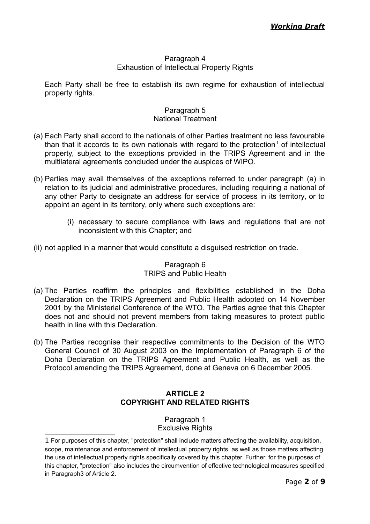### Paragraph 4 Exhaustion of Intellectual Property Rights

Each Party shall be free to establish its own regime for exhaustion of intellectual property rights.

### Paragraph 5 National Treatment

- (a) Each Party shall accord to the nationals of other Parties treatment no less favourable than that it accords to its own nationals with regard to the protection<sup>[1](#page-1-0)</sup> of intellectual property, subject to the exceptions provided in the TRIPS Agreement and in the multilateral agreements concluded under the auspices of WIPO.
- (b) Parties may avail themselves of the exceptions referred to under paragraph (a) in relation to its judicial and administrative procedures, including requiring a national of any other Party to designate an address for service of process in its territory, or to appoint an agent in its territory, only where such exceptions are:
	- (i) necessary to secure compliance with laws and regulations that are not inconsistent with this Chapter; and
- (ii) not applied in a manner that would constitute a disguised restriction on trade.

# Paragraph 6 TRIPS and Public Health

- (a) The Parties reaffirm the principles and flexibilities established in the Doha Declaration on the TRIPS Agreement and Public Health adopted on 14 November 2001 by the Ministerial Conference of the WTO. The Parties agree that this Chapter does not and should not prevent members from taking measures to protect public health in line with this Declaration.
- (b) The Parties recognise their respective commitments to the Decision of the WTO General Council of 30 August 2003 on the Implementation of Paragraph 6 of the Doha Declaration on the TRIPS Agreement and Public Health, as well as the Protocol amending the TRIPS Agreement, done at Geneva on 6 December 2005.

# **ARTICLE 2 COPYRIGHT AND RELATED RIGHTS**

# Paragraph 1 Exclusive Rights

<span id="page-1-0"></span><sup>1</sup> For purposes of this chapter, "protection" shall include matters affecting the availability, acquisition, scope, maintenance and enforcement of intellectual property rights, as well as those matters affecting the use of intellectual property rights specifically covered by this chapter. Further, for the purposes of this chapter, "protection" also includes the circumvention of effective technological measures specified in Paragraph3 of Article 2.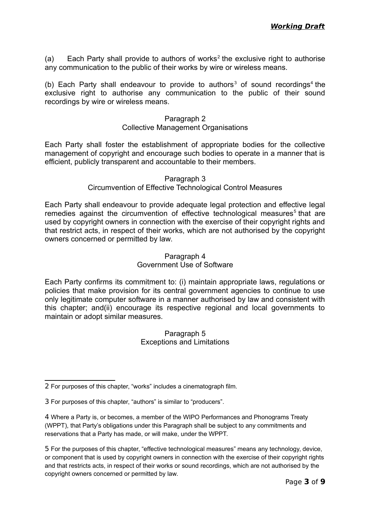(a) Each Party shall provide to authors of works<sup>[2](#page-2-0)</sup> the exclusive right to authorise any communication to the public of their works by wire or wireless means.

(b) Each Party shall endeavour to provide to authors<sup>[3](#page-2-1)</sup> of sound recordings<sup>[4](#page-2-2)</sup> the exclusive right to authorise any communication to the public of their sound recordings by wire or wireless means.

## Paragraph 2

# Collective Management Organisations

Each Party shall foster the establishment of appropriate bodies for the collective management of copyright and encourage such bodies to operate in a manner that is efficient, publicly transparent and accountable to their members.

#### Paragraph 3 Circumvention of Effective Technological Control Measures

Each Party shall endeavour to provide adequate legal protection and effective legal remedies against the circumvention of effective technological measures<sup>[5](#page-2-3)</sup> that are used by copyright owners in connection with the exercise of their copyright rights and that restrict acts, in respect of their works, which are not authorised by the copyright owners concerned or permitted by law.

# Paragraph 4 Government Use of Software

Each Party confirms its commitment to: (i) maintain appropriate laws, regulations or policies that make provision for its central government agencies to continue to use only legitimate computer software in a manner authorised by law and consistent with this chapter; and(ii) encourage its respective regional and local governments to maintain or adopt similar measures.

## Paragraph 5 Exceptions and Limitations

<span id="page-2-0"></span><sup>2</sup> For purposes of this chapter, "works" includes a cinematograph film.

<span id="page-2-1"></span><sup>3</sup> For purposes of this chapter, "authors" is similar to "producers".

<span id="page-2-2"></span><sup>4</sup> Where a Party is, or becomes, a member of the WIPO Performances and Phonograms Treaty (WPPT), that Party's obligations under this Paragraph shall be subject to any commitments and reservations that a Party has made, or will make, under the WPPT.

<span id="page-2-3"></span><sup>5</sup> For the purposes of this chapter, "effective technological measures" means any technology, device, or component that is used by copyright owners in connection with the exercise of their copyright rights and that restricts acts, in respect of their works or sound recordings, which are not authorised by the copyright owners concerned or permitted by law.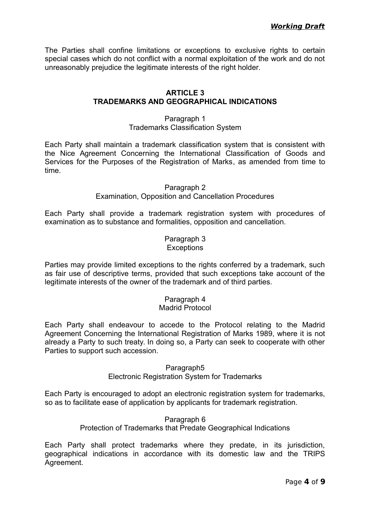The Parties shall confine limitations or exceptions to exclusive rights to certain special cases which do not conflict with a normal exploitation of the work and do not unreasonably prejudice the legitimate interests of the right holder.

## **ARTICLE 3 TRADEMARKS AND GEOGRAPHICAL INDICATIONS**

## Paragraph 1 Trademarks Classification System

Each Party shall maintain a trademark classification system that is consistent with the Nice Agreement Concerning the International Classification of Goods and Services for the Purposes of the Registration of Marks, as amended from time to time.

#### Paragraph 2

## Examination, Opposition and Cancellation Procedures

Each Party shall provide a trademark registration system with procedures of examination as to substance and formalities, opposition and cancellation.

#### Paragraph 3 **Exceptions**

Parties may provide limited exceptions to the rights conferred by a trademark, such as fair use of descriptive terms, provided that such exceptions take account of the legitimate interests of the owner of the trademark and of third parties.

#### Paragraph 4 Madrid Protocol

Each Party shall endeavour to accede to the Protocol relating to the Madrid Agreement Concerning the International Registration of Marks 1989, where it is not already a Party to such treaty. In doing so, a Party can seek to cooperate with other Parties to support such accession.

#### Paragraph5

#### Electronic Registration System for Trademarks

Each Party is encouraged to adopt an electronic registration system for trademarks, so as to facilitate ease of application by applicants for trademark registration.

### Paragraph 6 Protection of Trademarks that Predate Geographical Indications

Each Party shall protect trademarks where they predate, in its jurisdiction, geographical indications in accordance with its domestic law and the TRIPS Agreement.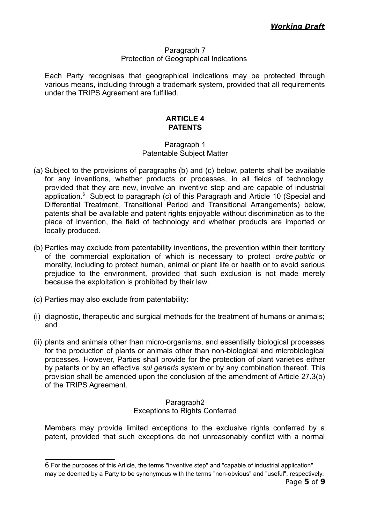#### Paragraph 7 Protection of Geographical Indications

Each Party recognises that geographical indications may be protected through various means, including through a trademark system, provided that all requirements under the TRIPS Agreement are fulfilled.

# **ARTICLE 4 PATENTS**

# Paragraph 1 Patentable Subject Matter

- (a) Subject to the provisions of paragraphs (b) and (c) below, patents shall be available for any inventions, whether products or processes, in all fields of technology, provided that they are new, involve an inventive step and are capable of industrial application.<sup>[6](#page-4-0)</sup> Subject to paragraph (c) of this Paragraph and Article 10 (Special and Differential Treatment, Transitional Period and Transitional Arrangements) below, patents shall be available and patent rights enjoyable without discrimination as to the place of invention, the field of technology and whether products are imported or locally produced.
- (b) Parties may exclude from patentability inventions, the prevention within their territory of the commercial exploitation of which is necessary to protect *ordre public* or morality, including to protect human, animal or plant life or health or to avoid serious prejudice to the environment, provided that such exclusion is not made merely because the exploitation is prohibited by their law.
- (c) Parties may also exclude from patentability:
- (i) diagnostic, therapeutic and surgical methods for the treatment of humans or animals; and
- (ii) plants and animals other than micro-organisms, and essentially biological processes for the production of plants or animals other than non-biological and microbiological processes. However, Parties shall provide for the protection of plant varieties either by patents or by an effective *sui generis* system or by any combination thereof. This provision shall be amended upon the conclusion of the amendment of Article 27.3(b) of the TRIPS Agreement.

# Paragraph2 Exceptions to Rights Conferred

Members may provide limited exceptions to the exclusive rights conferred by a patent, provided that such exceptions do not unreasonably conflict with a normal

<span id="page-4-0"></span><sup>6</sup> For the purposes of this Article, the terms "inventive step" and "capable of industrial application" may be deemed by a Party to be synonymous with the terms "non-obvious" and "useful", respectively.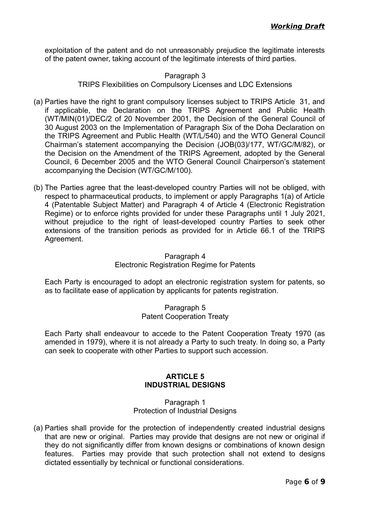exploitation of the patent and do not unreasonably prejudice the legitimate interests of the patent owner, taking account of the legitimate interests of third parties.

### Paragraph 3

TRIPS Flexibilities on Compulsory Licenses and LDC Extensions

- (a) Parties have the right to grant compulsory licenses subject to TRIPS Article 31, and if applicable, the Declaration on the TRIPS Agreement and Public Health (WT/MIN(01)/DEC/2 of 20 November 2001, the Decision of the General Council of 30 August 2003 on the Implementation of Paragraph Six of the Doha Declaration on the TRIPS Agreement and Public Health (WT/L/540) and the WTO General Council Chairman's statement accompanying the Decision (JOB(03)/177, WT/GC/M/82), or the Decision on the Amendment of the TRIPS Agreement, adopted by the General Council, 6 December 2005 and the WTO General Council Chairperson's statement accompanying the Decision (WT/GC/M/100).
- (b) The Parties agree that the least-developed country Parties will not be obliged, with respect to pharmaceutical products, to implement or apply Paragraphs 1(a) of Article 4 (Patentable Subject Matter) and Paragraph 4 of Article 4 (Electronic Registration Regime) or to enforce rights provided for under these Paragraphs until 1 July 2021, without prejudice to the right of least-developed country Parties to seek other extensions of the transition periods as provided for in Article 66.1 of the TRIPS Agreement.

## Paragraph 4 Electronic Registration Regime for Patents

Each Party is encouraged to adopt an electronic registration system for patents, so as to facilitate ease of application by applicants for patents registration.

## Paragraph 5 Patent Cooperation Treaty

Each Party shall endeavour to accede to the Patent Cooperation Treaty 1970 (as amended in 1979), where it is not already a Party to such treaty. In doing so, a Party can seek to cooperate with other Parties to support such accession.

### **ARTICLE 5 INDUSTRIAL DESIGNS**

### Paragraph 1 Protection of Industrial Designs

(a) Parties shall provide for the protection of independently created industrial designs that are new or original. Parties may provide that designs are not new or original if they do not significantly differ from known designs or combinations of known design features. Parties may provide that such protection shall not extend to designs dictated essentially by technical or functional considerations.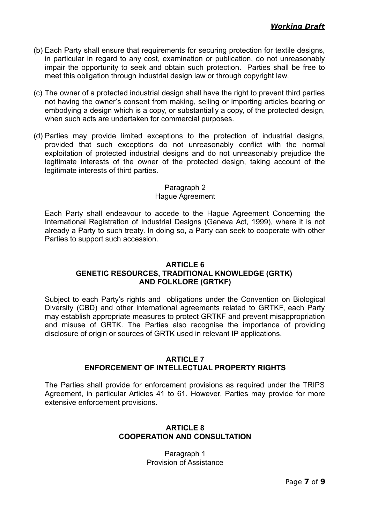- (b) Each Party shall ensure that requirements for securing protection for textile designs, in particular in regard to any cost, examination or publication, do not unreasonably impair the opportunity to seek and obtain such protection. Parties shall be free to meet this obligation through industrial design law or through copyright law.
- (c) The owner of a protected industrial design shall have the right to prevent third parties not having the owner's consent from making, selling or importing articles bearing or embodying a design which is a copy, or substantially a copy, of the protected design, when such acts are undertaken for commercial purposes.
- (d) Parties may provide limited exceptions to the protection of industrial designs, provided that such exceptions do not unreasonably conflict with the normal exploitation of protected industrial designs and do not unreasonably prejudice the legitimate interests of the owner of the protected design, taking account of the legitimate interests of third parties.

# Paragraph 2 Hague Agreement

Each Party shall endeavour to accede to the Hague Agreement Concerning the International Registration of Industrial Designs (Geneva Act, 1999), where it is not already a Party to such treaty. In doing so, a Party can seek to cooperate with other Parties to support such accession.

# **ARTICLE 6 GENETIC RESOURCES, TRADITIONAL KNOWLEDGE (GRTK) AND FOLKLORE (GRTKF)**

Subject to each Party's rights and obligations under the Convention on Biological Diversity (CBD) and other international agreements related to GRTKF, each Party may establish appropriate measures to protect GRTKF and prevent misappropriation and misuse of GRTK. The Parties also recognise the importance of providing disclosure of origin or sources of GRTK used in relevant IP applications.

## **ARTICLE 7 ENFORCEMENT OF INTELLECTUAL PROPERTY RIGHTS**

The Parties shall provide for enforcement provisions as required under the TRIPS Agreement, in particular Articles 41 to 61. However, Parties may provide for more extensive enforcement provisions.

# **ARTICLE 8 COOPERATION AND CONSULTATION**

Paragraph 1 Provision of Assistance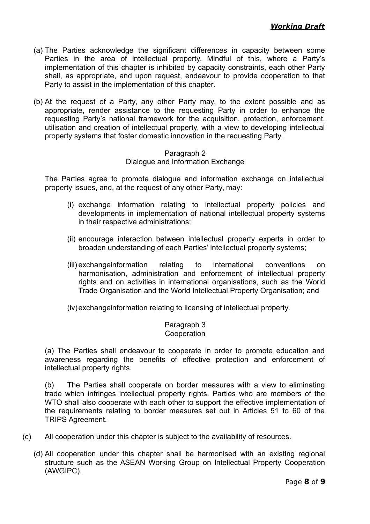- (a) The Parties acknowledge the significant differences in capacity between some Parties in the area of intellectual property. Mindful of this, where a Party's implementation of this chapter is inhibited by capacity constraints, each other Party shall, as appropriate, and upon request, endeavour to provide cooperation to that Party to assist in the implementation of this chapter.
- (b) At the request of a Party, any other Party may, to the extent possible and as appropriate, render assistance to the requesting Party in order to enhance the requesting Party's national framework for the acquisition, protection, enforcement, utilisation and creation of intellectual property, with a view to developing intellectual property systems that foster domestic innovation in the requesting Party.

### Paragraph 2 Dialogue and Information Exchange

The Parties agree to promote dialogue and information exchange on intellectual property issues, and, at the request of any other Party, may:

- (i) exchange information relating to intellectual property policies and developments in implementation of national intellectual property systems in their respective administrations;
- (ii) encourage interaction between intellectual property experts in order to broaden understanding of each Parties' intellectual property systems;
- (iii) exchangeinformation relating to international conventions on harmonisation, administration and enforcement of intellectual property rights and on activities in international organisations, such as the World Trade Organisation and the World Intellectual Property Organisation; and
- (iv)exchangeinformation relating to licensing of intellectual property.

#### Paragraph 3 **Cooperation**

(a) The Parties shall endeavour to cooperate in order to promote education and awareness regarding the benefits of effective protection and enforcement of intellectual property rights.

(b) The Parties shall cooperate on border measures with a view to eliminating trade which infringes intellectual property rights. Parties who are members of the WTO shall also cooperate with each other to support the effective implementation of the requirements relating to border measures set out in Articles 51 to 60 of the TRIPS Agreement.

- (c) All cooperation under this chapter is subject to the availability of resources.
	- (d) All cooperation under this chapter shall be harmonised with an existing regional structure such as the ASEAN Working Group on Intellectual Property Cooperation (AWGIPC).